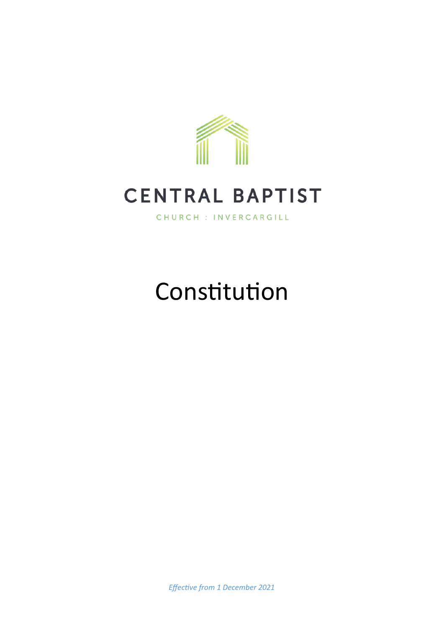

## **CENTRAL BAPTIST**

CHURCH : INVERCARGILL

# Constitution

*Effective from 1 December 2021*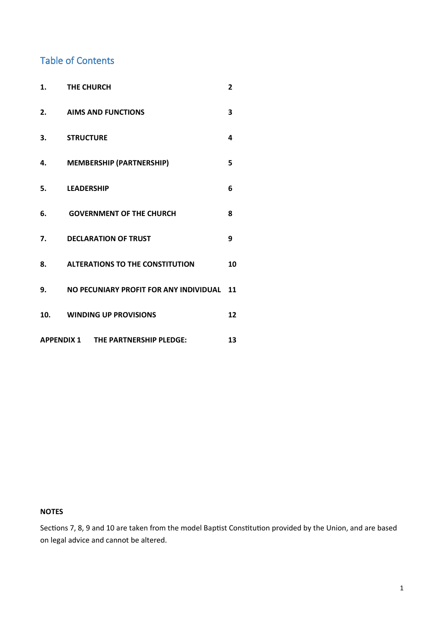### Table of Contents

| 1.                                              | <b>THE CHURCH</b>                         | 2  |
|-------------------------------------------------|-------------------------------------------|----|
| 2.                                              | <b>AIMS AND FUNCTIONS</b>                 | 3  |
| 3.                                              | <b>STRUCTURE</b>                          | 4  |
| 4.                                              | <b>MEMBERSHIP (PARTNERSHIP)</b>           | 5  |
| 5.                                              | <b>LEADERSHIP</b>                         | 6  |
| 6.                                              | <b>GOVERNMENT OF THE CHURCH</b>           | 8  |
| 7.                                              | <b>DECLARATION OF TRUST</b>               | 9  |
| 8.                                              | <b>ALTERATIONS TO THE CONSTITUTION</b>    | 10 |
| 9.                                              | NO PECUNIARY PROFIT FOR ANY INDIVIDUAL 11 |    |
| 10.                                             | <b>WINDING UP PROVISIONS</b>              | 12 |
| <b>APPENDIX 1 THE PARTNERSHIP PLEDGE:</b><br>13 |                                           |    |

#### **NOTES**

Sections 7, 8, 9 and 10 are taken from the model Baptist Constitution provided by the Union, and are based on legal advice and cannot be altered.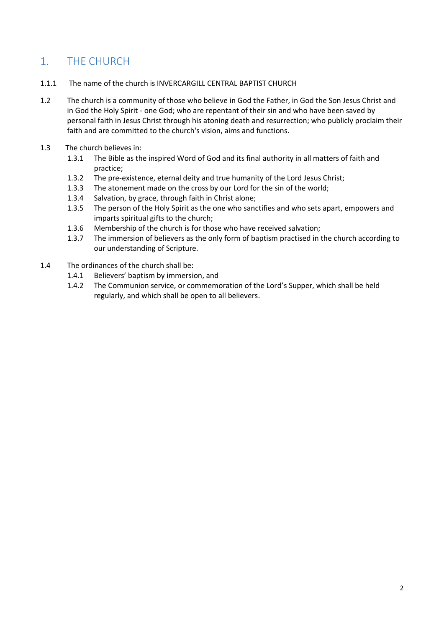## <span id="page-2-0"></span>1. THE CHURCH

- 1.1.1 The name of the church is INVERCARGILL CENTRAL BAPTIST CHURCH
- 1.2 The church is a community of those who believe in God the Father, in God the Son Jesus Christ and in God the Holy Spirit - one God; who are repentant of their sin and who have been saved by personal faith in Jesus Christ through his atoning death and resurrection; who publicly proclaim their faith and are committed to the church's vision, aims and functions.
- 1.3 The church believes in:
	- 1.3.1 The Bible as the inspired Word of God and its final authority in all matters of faith and practice;
	- 1.3.2 The pre-existence, eternal deity and true humanity of the Lord Jesus Christ;
	- 1.3.3 The atonement made on the cross by our Lord for the sin of the world;
	- 1.3.4 Salvation, by grace, through faith in Christ alone;
	- 1.3.5 The person of the Holy Spirit as the one who sanctifies and who sets apart, empowers and imparts spiritual gifts to the church;
	- 1.3.6 Membership of the church is for those who have received salvation;
	- 1.3.7 The immersion of believers as the only form of baptism practised in the church according to our understanding of Scripture.
- 1.4 The ordinances of the church shall be:
	- 1.4.1 Believers' baptism by immersion, and
	- 1.4.2 The Communion service, or commemoration of the Lord's Supper, which shall be held regularly, and which shall be open to all believers.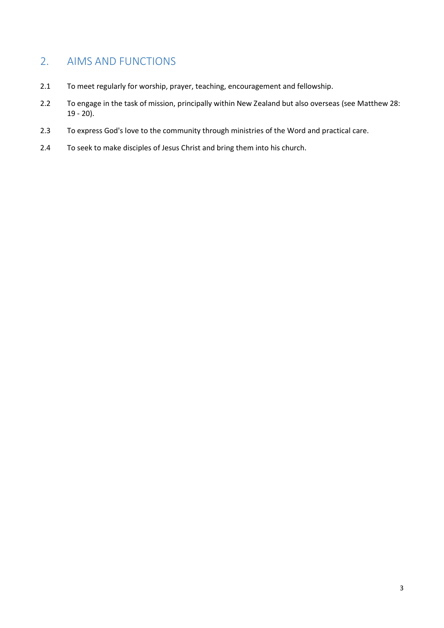## <span id="page-3-0"></span>2. AIMS AND FUNCTIONS

- 2.1 To meet regularly for worship, prayer, teaching, encouragement and fellowship.
- 2.2 To engage in the task of mission, principally within New Zealand but also overseas (see Matthew 28: 19 - 20).
- 2.3 To express God's love to the community through ministries of the Word and practical care.
- 2.4 To seek to make disciples of Jesus Christ and bring them into his church.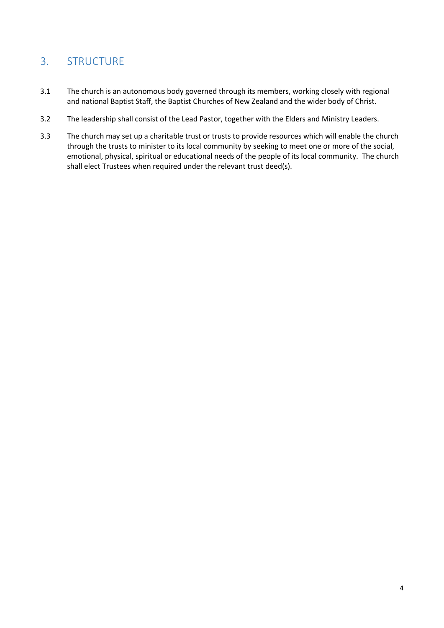## <span id="page-4-0"></span>3. STRUCTURE

- 3.1 The church is an autonomous body governed through its members, working closely with regional and national Baptist Staff, the Baptist Churches of New Zealand and the wider body of Christ.
- 3.2 The leadership shall consist of the Lead Pastor, together with the Elders and Ministry Leaders.
- 3.3 The church may set up a charitable trust or trusts to provide resources which will enable the church through the trusts to minister to its local community by seeking to meet one or more of the social, emotional, physical, spiritual or educational needs of the people of its local community. The church shall elect Trustees when required under the relevant trust deed(s).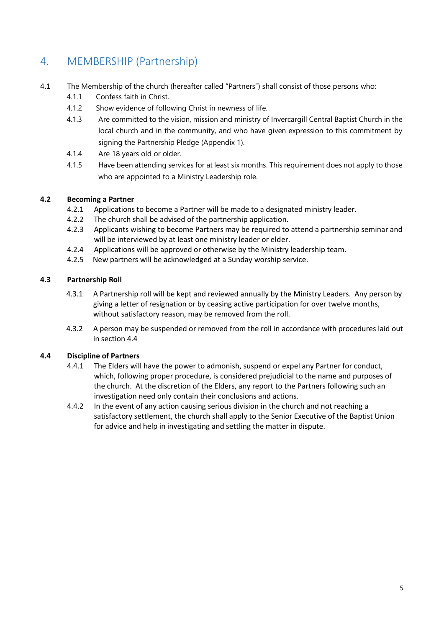## <span id="page-5-0"></span>4. MEMBERSHIP (Partnership)

- 4.1 The Membership of the church (hereafter called "Partners") shall consist of those persons who:
	- 4.1.1 Confess faith in Christ.
	- 4.1.2 Show evidence of following Christ in newness of life.
	- 4.1.3 Are committed to the vision, mission and ministry of Invercargill Central Baptist Church in the local church and in the community, and who have given expression to this commitment by signing the Partnership Pledge (Appendix 1).
	- 4.1.4 Are 18 years old or older.
	- 4.1.5 Have been attending services for at least six months. This requirement does not apply to those who are appointed to a Ministry Leadership role.

#### **4.2 Becoming a Partner**

- 4.2.1 Applications to become a Partner will be made to a designated ministry leader.
- 4.2.2 The church shall be advised of the partnership application.
- 4.2.3 Applicants wishing to become Partners may be required to attend a partnership seminar and will be interviewed by at least one ministry leader or elder.
- 4.2.4 Applications will be approved or otherwise by the Ministry leadership team.
- 4.2.5 New partners will be acknowledged at a Sunday worship service.

#### **4.3 Partnership Roll**

- 4.3.1 A Partnership roll will be kept and reviewed annually by the Ministry Leaders. Any person by giving a letter of resignation or by ceasing active participation for over twelve months, without satisfactory reason, may be removed from the roll.
- 4.3.2 A person may be suspended or removed from the roll in accordance with procedures laid out in section 4.4

#### **4.4 Discipline of Partners**

- 4.4.1 The Elders will have the power to admonish, suspend or expel any Partner for conduct, which, following proper procedure, is considered prejudicial to the name and purposes of the church. At the discretion of the Elders, any report to the Partners following such an investigation need only contain their conclusions and actions.
- 4.4.2 In the event of any action causing serious division in the church and not reaching a satisfactory settlement, the church shall apply to the Senior Executive of the Baptist Union for advice and help in investigating and settling the matter in dispute.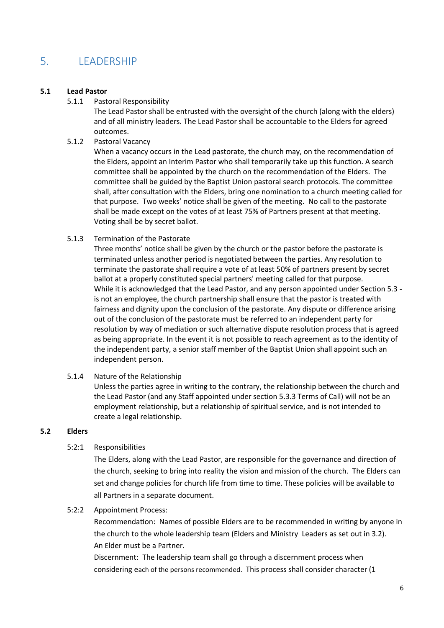## <span id="page-6-0"></span>5. LEADERSHIP

#### **5.1 Lead Pastor**

5.1.1 Pastoral Responsibility

The Lead Pastor shall be entrusted with the oversight of the church (along with the elders) and of all ministry leaders. The Lead Pastor shall be accountable to the Elders for agreed outcomes.

5.1.2 Pastoral Vacancy

When a vacancy occurs in the Lead pastorate, the church may, on the recommendation of the Elders, appoint an Interim Pastor who shall temporarily take up this function. A search committee shall be appointed by the church on the recommendation of the Elders. The committee shall be guided by the Baptist Union pastoral search protocols. The committee shall, after consultation with the Elders, bring one nomination to a church meeting called for that purpose. Two weeks' notice shall be given of the meeting. No call to the pastorate shall be made except on the votes of at least 75% of Partners present at that meeting. Voting shall be by secret ballot.

5.1.3 Termination of the Pastorate

Three months' notice shall be given by the church or the pastor before the pastorate is terminated unless another period is negotiated between the parties. Any resolution to terminate the pastorate shall require a vote of at least 50% of partners present by secret ballot at a properly constituted special partners' meeting called for that purpose. While it is acknowledged that the Lead Pastor, and any person appointed under Section 5.3 is not an employee, the church partnership shall ensure that the pastor is treated with fairness and dignity upon the conclusion of the pastorate. Any dispute or difference arising out of the conclusion of the pastorate must be referred to an independent party for resolution by way of mediation or such alternative dispute resolution process that is agreed as being appropriate. In the event it is not possible to reach agreement as to the identity of the independent party, a senior staff member of the Baptist Union shall appoint such an independent person.

5.1.4 Nature of the Relationship

Unless the parties agree in writing to the contrary, the relationship between the church and the Lead Pastor (and any Staff appointed under section 5.3.3 Terms of Call) will not be an employment relationship, but a relationship of spiritual service, and is not intended to create a legal relationship.

#### **5.2 Elders**

#### 5:2:1 Responsibilities

The Elders, along with the Lead Pastor, are responsible for the governance and direction of the church, seeking to bring into reality the vision and mission of the church. The Elders can set and change policies for church life from time to time. These policies will be available to all Partners in a separate document.

#### 5:2:2 Appointment Process:

Recommendation: Names of possible Elders are to be recommended in writing by anyone in the church to the whole leadership team (Elders and Ministry Leaders as set out in 3.2). An Elder must be a Partner.

Discernment: The leadership team shall go through a discernment process when considering each of the persons recommended. This process shall consider character (1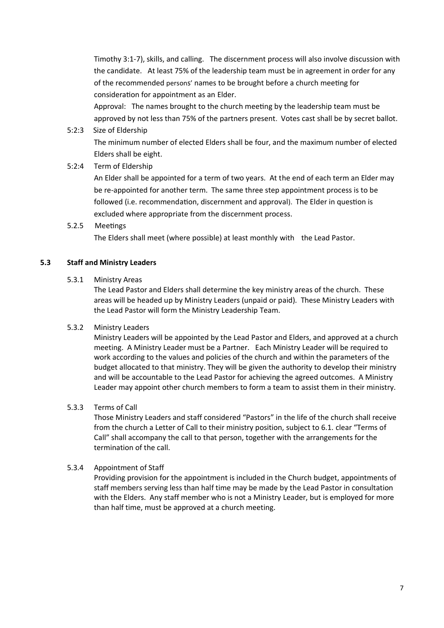Timothy 3:1-7), skills, and calling. The discernment process will also involve discussion with the candidate. At least 75% of the leadership team must be in agreement in order for any of the recommended persons' names to be brought before a church meeting for consideration for appointment as an Elder.

Approval: The names brought to the church meeting by the leadership team must be approved by not less than 75% of the partners present. Votes cast shall be by secret ballot.

5:2:3 Size of Eldership

 The minimum number of elected Elders shall be four, and the maximum number of elected Elders shall be eight.

5:2:4 Term of Eldership

An Elder shall be appointed for a term of two years. At the end of each term an Elder may be re-appointed for another term. The same three step appointment process is to be followed (i.e. recommendation, discernment and approval). The Elder in question is excluded where appropriate from the discernment process.

5.2.5 Meetings

The Elders shall meet (where possible) at least monthly with the Lead Pastor.

#### **5.3 Staff and Ministry Leaders**

5.3.1 Ministry Areas

The Lead Pastor and Elders shall determine the key ministry areas of the church. These areas will be headed up by Ministry Leaders (unpaid or paid). These Ministry Leaders with the Lead Pastor will form the Ministry Leadership Team.

#### 5.3.2 Ministry Leaders

Ministry Leaders will be appointed by the Lead Pastor and Elders, and approved at a church meeting. A Ministry Leader must be a Partner. Each Ministry Leader will be required to work according to the values and policies of the church and within the parameters of the budget allocated to that ministry. They will be given the authority to develop their ministry and will be accountable to the Lead Pastor for achieving the agreed outcomes. A Ministry Leader may appoint other church members to form a team to assist them in their ministry.

#### 5.3.3 Terms of Call

Those Ministry Leaders and staff considered "Pastors" in the life of the church shall receive from the church a Letter of Call to their ministry position, subject to 6.1. clear "Terms of Call" shall accompany the call to that person, together with the arrangements for the termination of the call.

#### 5.3.4 Appointment of Staff

Providing provision for the appointment is included in the Church budget, appointments of staff members serving less than half time may be made by the Lead Pastor in consultation with the Elders. Any staff member who is not a Ministry Leader, but is employed for more than half time, must be approved at a church meeting.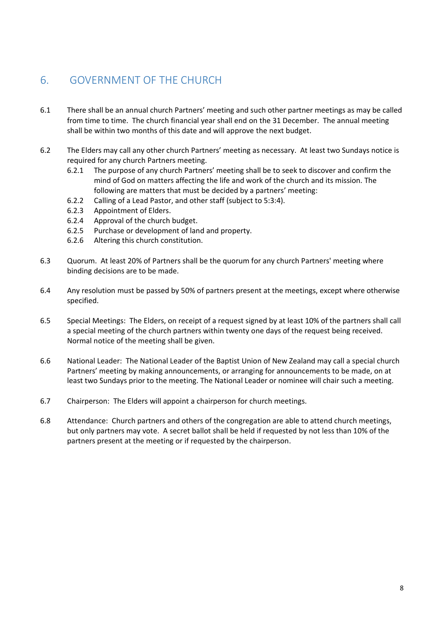## <span id="page-8-0"></span>6. GOVERNMENT OF THE CHURCH

- 6.1 There shall be an annual church Partners' meeting and such other partner meetings as may be called from time to time. The church financial year shall end on the 31 December. The annual meeting shall be within two months of this date and will approve the next budget.
- 6.2 The Elders may call any other church Partners' meeting as necessary. At least two Sundays notice is required for any church Partners meeting.
	- 6.2.1 The purpose of any church Partners' meeting shall be to seek to discover and confirm the mind of God on matters affecting the life and work of the church and its mission. The following are matters that must be decided by a partners' meeting:
	- 6.2.2 Calling of a Lead Pastor, and other staff (subject to 5:3:4).
	- 6.2.3 Appointment of Elders.
	- 6.2.4 Approval of the church budget.
	- 6.2.5 Purchase or development of land and property.
	- 6.2.6 Altering this church constitution.
- 6.3 Quorum. At least 20% of Partners shall be the quorum for any church Partners' meeting where binding decisions are to be made.
- 6.4 Any resolution must be passed by 50% of partners present at the meetings, except where otherwise specified.
- 6.5 Special Meetings: The Elders, on receipt of a request signed by at least 10% of the partners shall call a special meeting of the church partners within twenty one days of the request being received. Normal notice of the meeting shall be given.
- 6.6 National Leader: The National Leader of the Baptist Union of New Zealand may call a special church Partners' meeting by making announcements, or arranging for announcements to be made, on at least two Sundays prior to the meeting. The National Leader or nominee will chair such a meeting.
- 6.7 Chairperson: The Elders will appoint a chairperson for church meetings.
- 6.8 Attendance: Church partners and others of the congregation are able to attend church meetings, but only partners may vote. A secret ballot shall be held if requested by not less than 10% of the partners present at the meeting or if requested by the chairperson.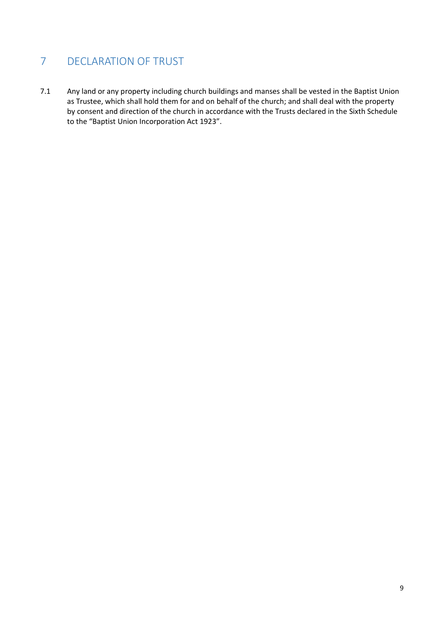## <span id="page-9-0"></span>7 DECLARATION OF TRUST

7.1 Any land or any property including church buildings and manses shall be vested in the Baptist Union as Trustee, which shall hold them for and on behalf of the church; and shall deal with the property by consent and direction of the church in accordance with the Trusts declared in the Sixth Schedule to the "Baptist Union Incorporation Act 1923".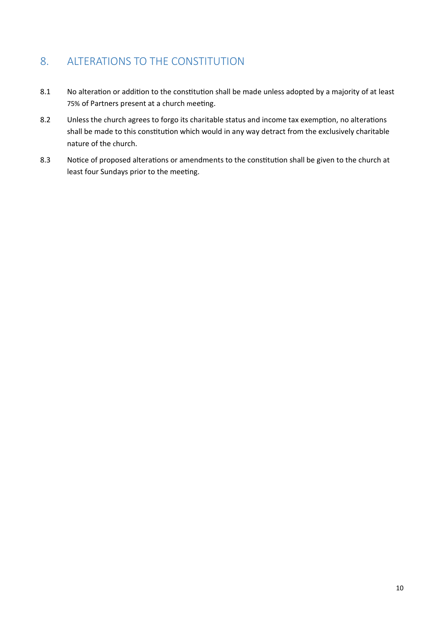## <span id="page-10-0"></span>8. ALTERATIONS TO THE CONSTITUTION

- 8.1 No alteration or addition to the constitution shall be made unless adopted by a majority of at least 75% of Partners present at a church meeting.
- 8.2 Unless the church agrees to forgo its charitable status and income tax exemption, no alterations shall be made to this constitution which would in any way detract from the exclusively charitable nature of the church.
- 8.3 Notice of proposed alterations or amendments to the constitution shall be given to the church at least four Sundays prior to the meeting.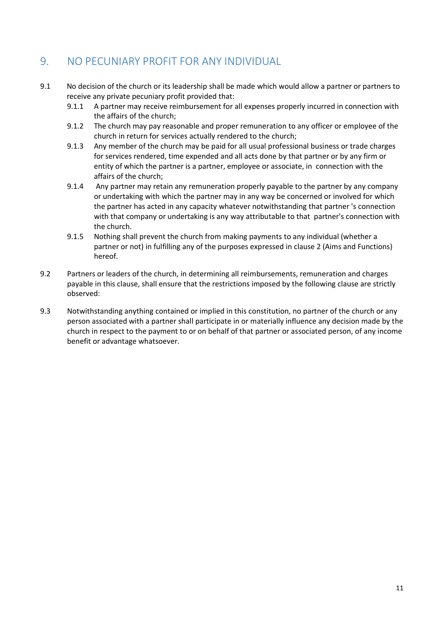## <span id="page-11-0"></span>9. NO PECUNIARY PROFIT FOR ANY INDIVIDUAL

- 9.1 No decision of the church or its leadership shall be made which would allow a partner or partners to receive any private pecuniary profit provided that:
	- 9.1.1 A partner may receive reimbursement for all expenses properly incurred in connection with the affairs of the church;
	- 9.1.2 The church may pay reasonable and proper remuneration to any officer or employee of the church in return for services actually rendered to the church;
	- 9.1.3 Any member of the church may be paid for all usual professional business or trade charges for services rendered, time expended and all acts done by that partner or by any firm or entity of which the partner is a partner, employee or associate, in connection with the affairs of the church;
	- 9.1.4 Any partner may retain any remuneration properly payable to the partner by any company or undertaking with which the partner may in any way be concerned or involved for which the partner has acted in any capacity whatever notwithstanding that partner 's connection with that company or undertaking is any way attributable to that partner's connection with the church.
	- 9.1.5 Nothing shall prevent the church from making payments to any individual (whether a partner or not) in fulfilling any of the purposes expressed in clause 2 (Aims and Functions) hereof.
- 9.2 Partners or leaders of the church, in determining all reimbursements, remuneration and charges payable in this clause, shall ensure that the restrictions imposed by the following clause are strictly observed:
- 9.3 Notwithstanding anything contained or implied in this constitution, no partner of the church or any person associated with a partner shall participate in or materially influence any decision made by the church in respect to the payment to or on behalf of that partner or associated person, of any income benefit or advantage whatsoever.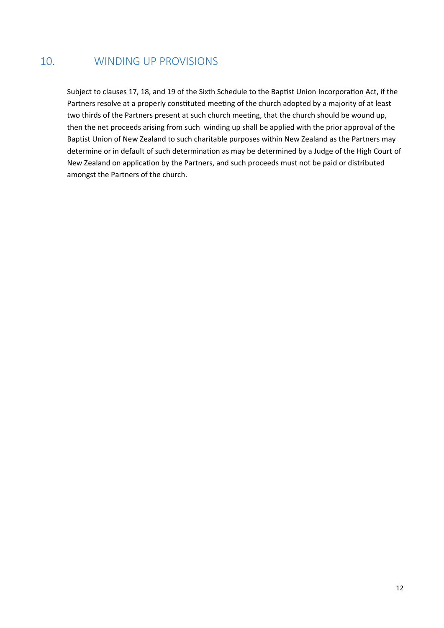## <span id="page-12-0"></span>10. WINDING UP PROVISIONS

Subject to clauses 17, 18, and 19 of the Sixth Schedule to the Baptist Union Incorporation Act, if the Partners resolve at a properly constituted meeting of the church adopted by a majority of at least two thirds of the Partners present at such church meeting, that the church should be wound up, then the net proceeds arising from such winding up shall be applied with the prior approval of the Baptist Union of New Zealand to such charitable purposes within New Zealand as the Partners may determine or in default of such determination as may be determined by a Judge of the High Court of New Zealand on application by the Partners, and such proceeds must not be paid or distributed amongst the Partners of the church.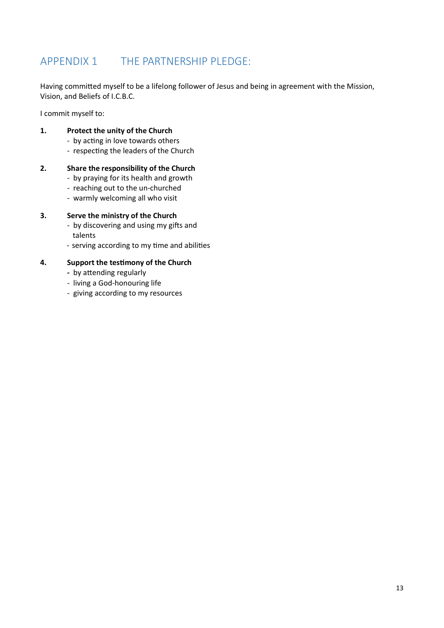## <span id="page-13-0"></span>APPENDIX 1 THE PARTNERSHIP PLEDGE:

Having committed myself to be a lifelong follower of Jesus and being in agreement with the Mission, Vision, and Beliefs of I.C.B.C.

I commit myself to:

#### **1. Protect the unity of the Church**

- by acting in love towards others
- respecting the leaders of the Church

#### **2. Share the responsibility of the Church**

- by praying for its health and growth
- reaching out to the un-churched
- warmly welcoming all who visit

#### **3. Serve the ministry of the Church**

- by discovering and using my gifts and talents
- serving according to my time and abilities

#### **4. Support the testimony of the Church**

- by attending regularly
- living a God-honouring life
- giving according to my resources